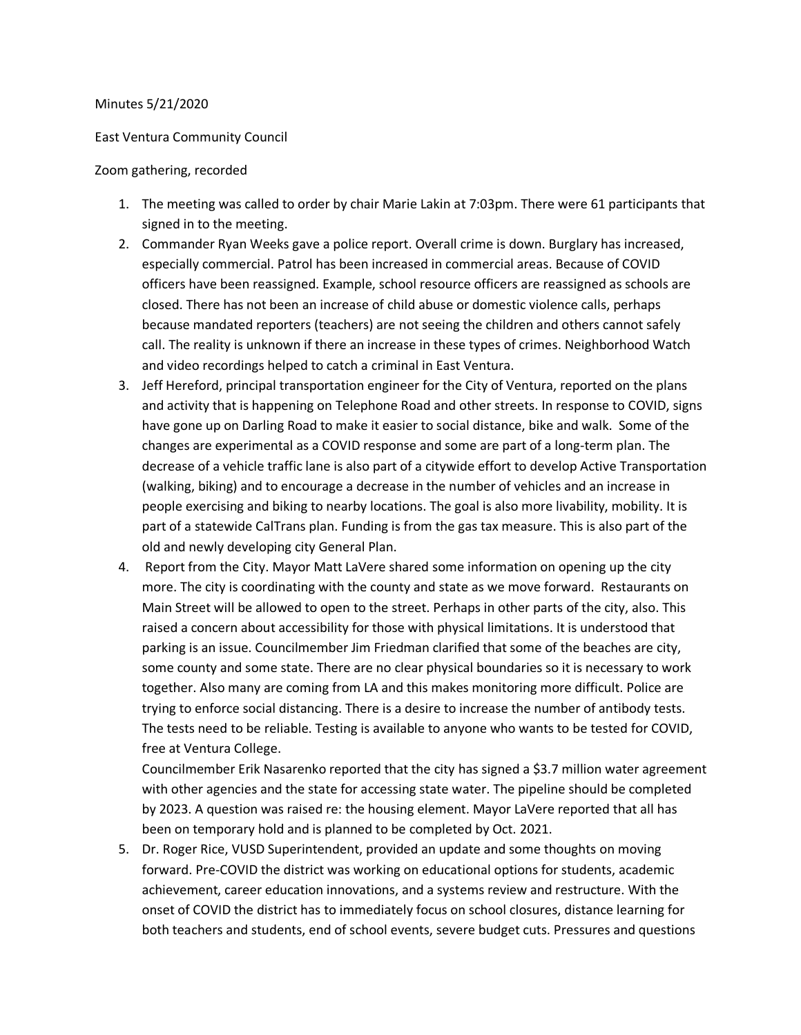## Minutes 5/21/2020

## East Ventura Community Council

## Zoom gathering, recorded

- 1. The meeting was called to order by chair Marie Lakin at 7:03pm. There were 61 participants that signed in to the meeting.
- 2. Commander Ryan Weeks gave a police report. Overall crime is down. Burglary has increased, especially commercial. Patrol has been increased in commercial areas. Because of COVID officers have been reassigned. Example, school resource officers are reassigned as schools are closed. There has not been an increase of child abuse or domestic violence calls, perhaps because mandated reporters (teachers) are not seeing the children and others cannot safely call. The reality is unknown if there an increase in these types of crimes. Neighborhood Watch and video recordings helped to catch a criminal in East Ventura.
- 3. Jeff Hereford, principal transportation engineer for the City of Ventura, reported on the plans and activity that is happening on Telephone Road and other streets. In response to COVID, signs have gone up on Darling Road to make it easier to social distance, bike and walk. Some of the changes are experimental as a COVID response and some are part of a long-term plan. The decrease of a vehicle traffic lane is also part of a citywide effort to develop Active Transportation (walking, biking) and to encourage a decrease in the number of vehicles and an increase in people exercising and biking to nearby locations. The goal is also more livability, mobility. It is part of a statewide CalTrans plan. Funding is from the gas tax measure. This is also part of the old and newly developing city General Plan.
- 4. Report from the City. Mayor Matt LaVere shared some information on opening up the city more. The city is coordinating with the county and state as we move forward. Restaurants on Main Street will be allowed to open to the street. Perhaps in other parts of the city, also. This raised a concern about accessibility for those with physical limitations. It is understood that parking is an issue. Councilmember Jim Friedman clarified that some of the beaches are city, some county and some state. There are no clear physical boundaries so it is necessary to work together. Also many are coming from LA and this makes monitoring more difficult. Police are trying to enforce social distancing. There is a desire to increase the number of antibody tests. The tests need to be reliable. Testing is available to anyone who wants to be tested for COVID, free at Ventura College.

Councilmember Erik Nasarenko reported that the city has signed a \$3.7 million water agreement with other agencies and the state for accessing state water. The pipeline should be completed by 2023. A question was raised re: the housing element. Mayor LaVere reported that all has been on temporary hold and is planned to be completed by Oct. 2021.

5. Dr. Roger Rice, VUSD Superintendent, provided an update and some thoughts on moving forward. Pre-COVID the district was working on educational options for students, academic achievement, career education innovations, and a systems review and restructure. With the onset of COVID the district has to immediately focus on school closures, distance learning for both teachers and students, end of school events, severe budget cuts. Pressures and questions